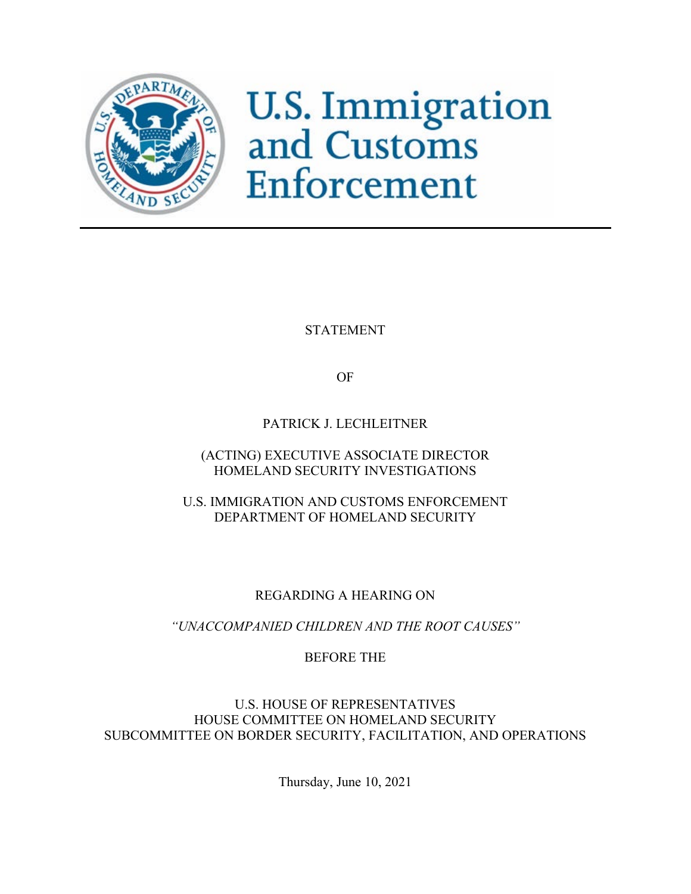

**U.S. Immigration**<br>and Customs Enforcement

STATEMENT

OF

PATRICK J. LECHLEITNER

(ACTING) EXECUTIVE ASSOCIATE DIRECTOR HOMELAND SECURITY INVESTIGATIONS

U.S. IMMIGRATION AND CUSTOMS ENFORCEMENT DEPARTMENT OF HOMELAND SECURITY

REGARDING A HEARING ON

*"UNACCOMPANIED CHILDREN AND THE ROOT CAUSES"*

BEFORE THE

U.S. HOUSE OF REPRESENTATIVES HOUSE COMMITTEE ON HOMELAND SECURITY SUBCOMMITTEE ON BORDER SECURITY, FACILITATION, AND OPERATIONS

Thursday, June 10, 2021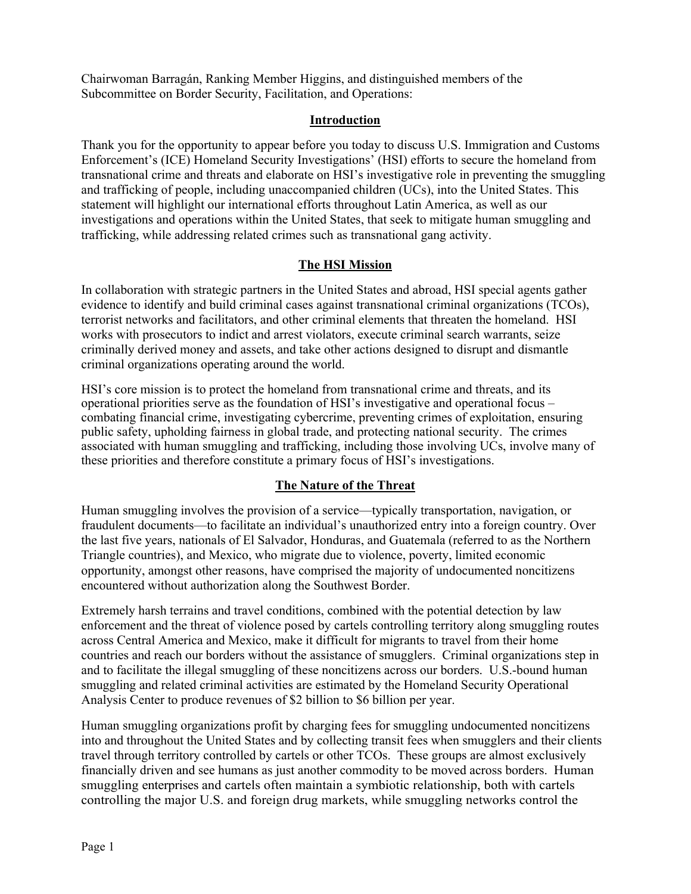Chairwoman Barragán, Ranking Member Higgins, and distinguished members of the Subcommittee on Border Security, Facilitation, and Operations:

### **Introduction**

Thank you for the opportunity to appear before you today to discuss U.S. Immigration and Customs Enforcement's (ICE) Homeland Security Investigations' (HSI) efforts to secure the homeland from transnational crime and threats and elaborate on HSI's investigative role in preventing the smuggling and trafficking of people, including unaccompanied children (UCs), into the United States. This statement will highlight our international efforts throughout Latin America, as well as our investigations and operations within the United States, that seek to mitigate human smuggling and trafficking, while addressing related crimes such as transnational gang activity.

## **The HSI Mission**

In collaboration with strategic partners in the United States and abroad, HSI special agents gather evidence to identify and build criminal cases against transnational criminal organizations (TCOs), terrorist networks and facilitators, and other criminal elements that threaten the homeland. HSI works with prosecutors to indict and arrest violators, execute criminal search warrants, seize criminally derived money and assets, and take other actions designed to disrupt and dismantle criminal organizations operating around the world.

HSI's core mission is to protect the homeland from transnational crime and threats, and its operational priorities serve as the foundation of HSI's investigative and operational focus – combating financial crime, investigating cybercrime, preventing crimes of exploitation, ensuring public safety, upholding fairness in global trade, and protecting national security. The crimes associated with human smuggling and trafficking, including those involving UCs, involve many of these priorities and therefore constitute a primary focus of HSI's investigations.

# **The Nature of the Threat**

Human smuggling involves the provision of a service—typically transportation, navigation, or fraudulent documents—to facilitate an individual's unauthorized entry into a foreign country. Over the last five years, nationals of El Salvador, Honduras, and Guatemala (referred to as the Northern Triangle countries), and Mexico, who migrate due to violence, poverty, limited economic opportunity, amongst other reasons, have comprised the majority of undocumented noncitizens encountered without authorization along the Southwest Border.

Extremely harsh terrains and travel conditions, combined with the potential detection by law enforcement and the threat of violence posed by cartels controlling territory along smuggling routes across Central America and Mexico, make it difficult for migrants to travel from their home countries and reach our borders without the assistance of smugglers. Criminal organizations step in and to facilitate the illegal smuggling of these noncitizens across our borders. U.S.-bound human smuggling and related criminal activities are estimated by the Homeland Security Operational Analysis Center to produce revenues of \$2 billion to \$6 billion per year.

Human smuggling organizations profit by charging fees for smuggling undocumented noncitizens into and throughout the United States and by collecting transit fees when smugglers and their clients travel through territory controlled by cartels or other TCOs. These groups are almost exclusively financially driven and see humans as just another commodity to be moved across borders. Human smuggling enterprises and cartels often maintain a symbiotic relationship, both with cartels controlling the major U.S. and foreign drug markets, while smuggling networks control the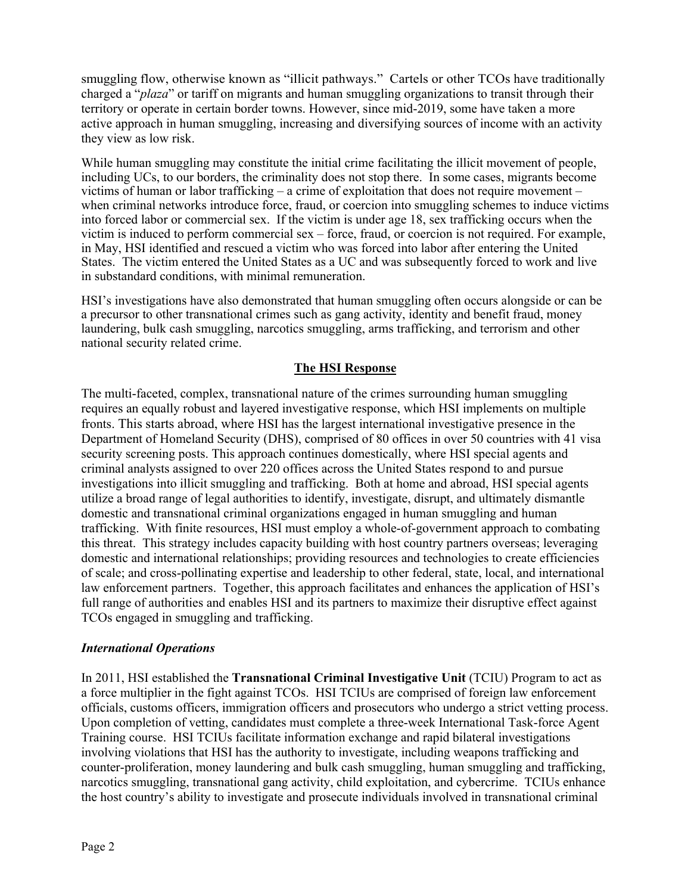smuggling flow, otherwise known as "illicit pathways." Cartels or other TCOs have traditionally charged a "*plaza*" or tariff on migrants and human smuggling organizations to transit through their territory or operate in certain border towns. However, since mid-2019, some have taken a more active approach in human smuggling, increasing and diversifying sources of income with an activity they view as low risk.

While human smuggling may constitute the initial crime facilitating the illicit movement of people, including UCs, to our borders, the criminality does not stop there. In some cases, migrants become victims of human or labor trafficking – a crime of exploitation that does not require movement – when criminal networks introduce force, fraud, or coercion into smuggling schemes to induce victims into forced labor or commercial sex. If the victim is under age 18, sex trafficking occurs when the victim is induced to perform commercial sex – force, fraud, or coercion is not required. For example, in May, HSI identified and rescued a victim who was forced into labor after entering the United States. The victim entered the United States as a UC and was subsequently forced to work and live in substandard conditions, with minimal remuneration.

HSI's investigations have also demonstrated that human smuggling often occurs alongside or can be a precursor to other transnational crimes such as gang activity, identity and benefit fraud, money laundering, bulk cash smuggling, narcotics smuggling, arms trafficking, and terrorism and other national security related crime.

## **The HSI Response**

The multi-faceted, complex, transnational nature of the crimes surrounding human smuggling requires an equally robust and layered investigative response, which HSI implements on multiple fronts. This starts abroad, where HSI has the largest international investigative presence in the Department of Homeland Security (DHS), comprised of 80 offices in over 50 countries with 41 visa security screening posts. This approach continues domestically, where HSI special agents and criminal analysts assigned to over 220 offices across the United States respond to and pursue investigations into illicit smuggling and trafficking. Both at home and abroad, HSI special agents utilize a broad range of legal authorities to identify, investigate, disrupt, and ultimately dismantle domestic and transnational criminal organizations engaged in human smuggling and human trafficking. With finite resources, HSI must employ a whole-of-government approach to combating this threat. This strategy includes capacity building with host country partners overseas; leveraging domestic and international relationships; providing resources and technologies to create efficiencies of scale; and cross-pollinating expertise and leadership to other federal, state, local, and international law enforcement partners. Together, this approach facilitates and enhances the application of HSI's full range of authorities and enables HSI and its partners to maximize their disruptive effect against TCOs engaged in smuggling and trafficking.

### *International Operations*

In 2011, HSI established the **Transnational Criminal Investigative Unit** (TCIU) Program to act as a force multiplier in the fight against TCOs. HSI TCIUs are comprised of foreign law enforcement officials, customs officers, immigration officers and prosecutors who undergo a strict vetting process. Upon completion of vetting, candidates must complete a three-week International Task-force Agent Training course. HSI TCIUs facilitate information exchange and rapid bilateral investigations involving violations that HSI has the authority to investigate, including weapons trafficking and counter-proliferation, money laundering and bulk cash smuggling, human smuggling and trafficking, narcotics smuggling, transnational gang activity, child exploitation, and cybercrime. TCIUs enhance the host country's ability to investigate and prosecute individuals involved in transnational criminal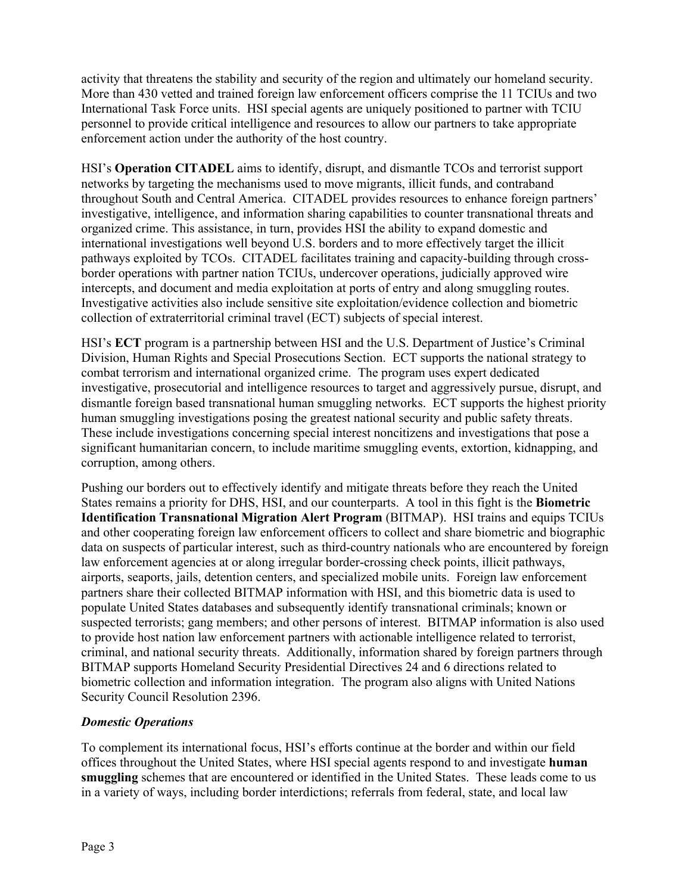activity that threatens the stability and security of the region and ultimately our homeland security. More than 430 vetted and trained foreign law enforcement officers comprise the 11 TCIUs and two International Task Force units. HSI special agents are uniquely positioned to partner with TCIU personnel to provide critical intelligence and resources to allow our partners to take appropriate enforcement action under the authority of the host country.

HSI's **Operation CITADEL** aims to identify, disrupt, and dismantle TCOs and terrorist support networks by targeting the mechanisms used to move migrants, illicit funds, and contraband throughout South and Central America. CITADEL provides resources to enhance foreign partners' investigative, intelligence, and information sharing capabilities to counter transnational threats and organized crime. This assistance, in turn, provides HSI the ability to expand domestic and international investigations well beyond U.S. borders and to more effectively target the illicit pathways exploited by TCOs. CITADEL facilitates training and capacity-building through crossborder operations with partner nation TCIUs, undercover operations, judicially approved wire intercepts, and document and media exploitation at ports of entry and along smuggling routes. Investigative activities also include sensitive site exploitation/evidence collection and biometric collection of extraterritorial criminal travel (ECT) subjects of special interest.

HSI's **ECT** program is a partnership between HSI and the U.S. Department of Justice's Criminal Division, Human Rights and Special Prosecutions Section. ECT supports the national strategy to combat terrorism and international organized crime. The program uses expert dedicated investigative, prosecutorial and intelligence resources to target and aggressively pursue, disrupt, and dismantle foreign based transnational human smuggling networks. ECT supports the highest priority human smuggling investigations posing the greatest national security and public safety threats. These include investigations concerning special interest noncitizens and investigations that pose a significant humanitarian concern, to include maritime smuggling events, extortion, kidnapping, and corruption, among others.

Pushing our borders out to effectively identify and mitigate threats before they reach the United States remains a priority for DHS, HSI, and our counterparts. A tool in this fight is the **Biometric Identification Transnational Migration Alert Program** (BITMAP). HSI trains and equips TCIUs and other cooperating foreign law enforcement officers to collect and share biometric and biographic data on suspects of particular interest, such as third-country nationals who are encountered by foreign law enforcement agencies at or along irregular border-crossing check points, illicit pathways, airports, seaports, jails, detention centers, and specialized mobile units. Foreign law enforcement partners share their collected BITMAP information with HSI, and this biometric data is used to populate United States databases and subsequently identify transnational criminals; known or suspected terrorists; gang members; and other persons of interest. BITMAP information is also used to provide host nation law enforcement partners with actionable intelligence related to terrorist, criminal, and national security threats. Additionally, information shared by foreign partners through BITMAP supports Homeland Security Presidential Directives 24 and 6 directions related to biometric collection and information integration. The program also aligns with United Nations Security Council Resolution 2396.

### *Domestic Operations*

To complement its international focus, HSI's efforts continue at the border and within our field offices throughout the United States, where HSI special agents respond to and investigate **human smuggling** schemes that are encountered or identified in the United States. These leads come to us in a variety of ways, including border interdictions; referrals from federal, state, and local law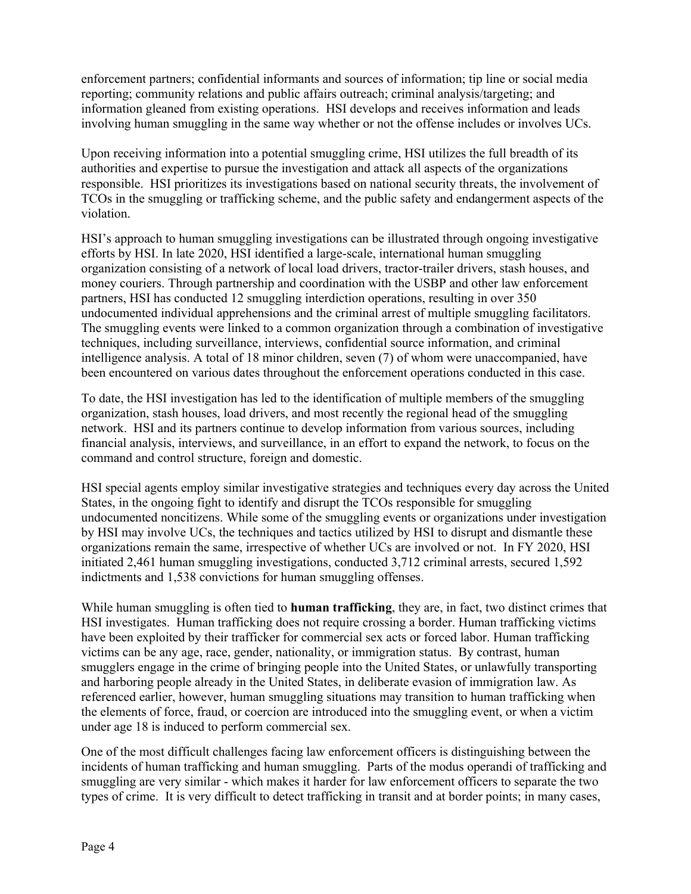enforcement partners; confidential informants and sources of information; tip line or social media reporting; community relations and public affairs outreach; criminal analysis/targeting; and information gleaned from existing operations. HSI develops and receives information and leads involving human smuggling in the same way whether or not the offense includes or involves UCs.

Upon receiving information into a potential smuggling crime, HSI utilizes the full breadth of its authorities and expertise to pursue the investigation and attack all aspects of the organizations responsible. HSI prioritizes its investigations based on national security threats, the involvement of TCOs in the smuggling or trafficking scheme, and the public safety and endangerment aspects of the violation.

HSI's approach to human smuggling investigations can be illustrated through ongoing investigative efforts by HSI. In late 2020, HSI identified a large-scale, international human smuggling organization consisting of a network of local load drivers, tractor-trailer drivers, stash houses, and money couriers. Through partnership and coordination with the USBP and other law enforcement partners, HSI has conducted 12 smuggling interdiction operations, resulting in over 350 undocumented individual apprehensions and the criminal arrest of multiple smuggling facilitators. The smuggling events were linked to a common organization through a combination of investigative techniques, including surveillance, interviews, confidential source information, and criminal intelligence analysis. A total of 18 minor children, seven (7) of whom were unaccompanied, have been encountered on various dates throughout the enforcement operations conducted in this case.

To date, the HSI investigation has led to the identification of multiple members of the smuggling organization, stash houses, load drivers, and most recently the regional head of the smuggling network. HSI and its partners continue to develop information from various sources, including financial analysis, interviews, and surveillance, in an effort to expand the network, to focus on the command and control structure, foreign and domestic.

HSI special agents employ similar investigative strategies and techniques every day across the United States, in the ongoing fight to identify and disrupt the TCOs responsible for smuggling undocumented noncitizens. While some of the smuggling events or organizations under investigation by HSI may involve UCs, the techniques and tactics utilized by HSI to disrupt and dismantle these organizations remain the same, irrespective of whether UCs are involved or not. In FY 2020, HSI initiated 2,461 human smuggling investigations, conducted 3,712 criminal arrests, secured 1,592 indictments and 1,538 convictions for human smuggling offenses.

While human smuggling is often tied to **human trafficking**, they are, in fact, two distinct crimes that HSI investigates. Human trafficking does not require crossing a border. Human trafficking victims have been exploited by their trafficker for commercial sex acts or forced labor. Human trafficking victims can be any age, race, gender, nationality, or immigration status. By contrast, human smugglers engage in the crime of bringing people into the United States, or unlawfully transporting and harboring people already in the United States, in deliberate evasion of immigration law. As referenced earlier, however, human smuggling situations may transition to human trafficking when the elements of force, fraud, or coercion are introduced into the smuggling event, or when a victim under age 18 is induced to perform commercial sex.

One of the most difficult challenges facing law enforcement officers is distinguishing between the incidents of human trafficking and human smuggling. Parts of the modus operandi of trafficking and smuggling are very similar - which makes it harder for law enforcement officers to separate the two types of crime. It is very difficult to detect trafficking in transit and at border points; in many cases,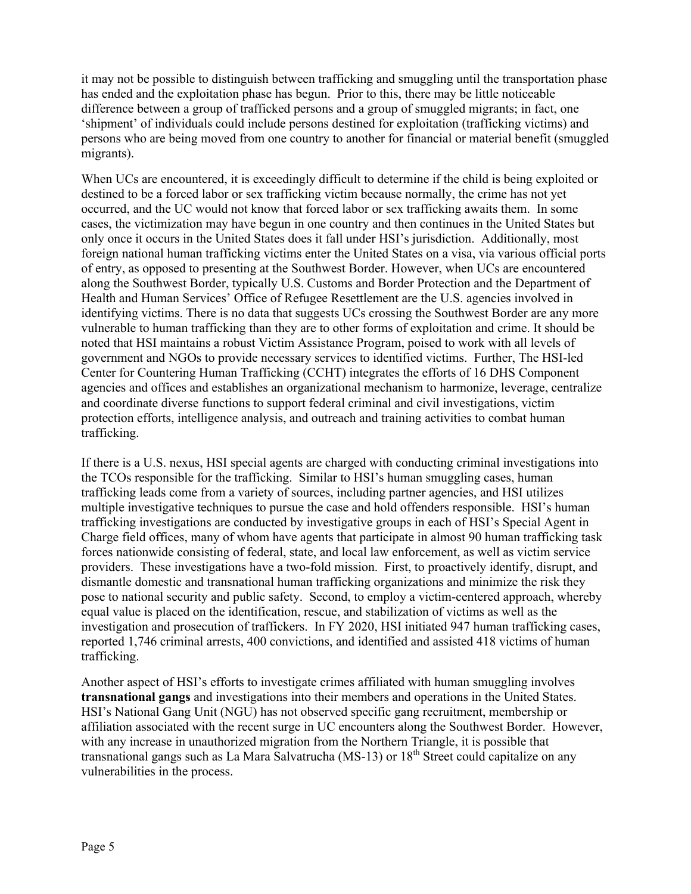it may not be possible to distinguish between trafficking and smuggling until the transportation phase has ended and the exploitation phase has begun. Prior to this, there may be little noticeable difference between a group of trafficked persons and a group of smuggled migrants; in fact, one 'shipment' of individuals could include persons destined for exploitation (trafficking victims) and persons who are being moved from one country to another for financial or material benefit (smuggled migrants).

When UCs are encountered, it is exceedingly difficult to determine if the child is being exploited or destined to be a forced labor or sex trafficking victim because normally, the crime has not yet occurred, and the UC would not know that forced labor or sex trafficking awaits them. In some cases, the victimization may have begun in one country and then continues in the United States but only once it occurs in the United States does it fall under HSI's jurisdiction. Additionally, most foreign national human trafficking victims enter the United States on a visa, via various official ports of entry, as opposed to presenting at the Southwest Border. However, when UCs are encountered along the Southwest Border, typically U.S. Customs and Border Protection and the Department of Health and Human Services' Office of Refugee Resettlement are the U.S. agencies involved in identifying victims. There is no data that suggests UCs crossing the Southwest Border are any more vulnerable to human trafficking than they are to other forms of exploitation and crime. It should be noted that HSI maintains a robust Victim Assistance Program, poised to work with all levels of government and NGOs to provide necessary services to identified victims. Further, The HSI-led Center for Countering Human Trafficking (CCHT) integrates the efforts of 16 DHS Component agencies and offices and establishes an organizational mechanism to harmonize, leverage, centralize and coordinate diverse functions to support federal criminal and civil investigations, victim protection efforts, intelligence analysis, and outreach and training activities to combat human trafficking.

If there is a U.S. nexus, HSI special agents are charged with conducting criminal investigations into the TCOs responsible for the trafficking. Similar to HSI's human smuggling cases, human trafficking leads come from a variety of sources, including partner agencies, and HSI utilizes multiple investigative techniques to pursue the case and hold offenders responsible. HSI's human trafficking investigations are conducted by investigative groups in each of HSI's Special Agent in Charge field offices, many of whom have agents that participate in almost 90 human trafficking task forces nationwide consisting of federal, state, and local law enforcement, as well as victim service providers. These investigations have a two-fold mission. First, to proactively identify, disrupt, and dismantle domestic and transnational human trafficking organizations and minimize the risk they pose to national security and public safety. Second, to employ a victim-centered approach, whereby equal value is placed on the identification, rescue, and stabilization of victims as well as the investigation and prosecution of traffickers. In FY 2020, HSI initiated 947 human trafficking cases, reported 1,746 criminal arrests, 400 convictions, and identified and assisted 418 victims of human trafficking.

Another aspect of HSI's efforts to investigate crimes affiliated with human smuggling involves **transnational gangs** and investigations into their members and operations in the United States. HSI's National Gang Unit (NGU) has not observed specific gang recruitment, membership or affiliation associated with the recent surge in UC encounters along the Southwest Border. However, with any increase in unauthorized migration from the Northern Triangle, it is possible that transnational gangs such as La Mara Salvatrucha (MS-13) or  $18<sup>th</sup>$  Street could capitalize on any vulnerabilities in the process.